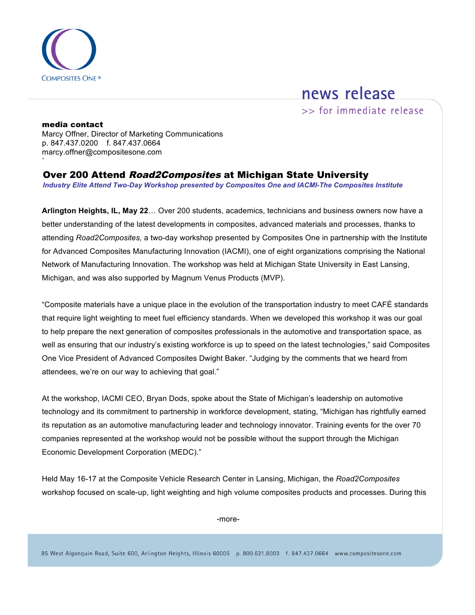

## news release

>> for immediate release

` media contact Marcy Offner, Director of Marketing Communications p. 847.437.0200 f. 847.437.0664 marcy.offner@compositesone.com

Over 200 Attend Road2Composites at Michigan State University

*Industry Elite Attend Two-Day Workshop presented by Composites One and IACMI-The Composites Institute* 

**Arlington Heights, IL, May 22**… Over 200 students, academics, technicians and business owners now have a better understanding of the latest developments in composites, advanced materials and processes, thanks to attending *Road2Composites,* a two-day workshop presented by Composites One in partnership with the Institute for Advanced Composites Manufacturing Innovation (IACMI), one of eight organizations comprising the National Network of Manufacturing Innovation. The workshop was held at Michigan State University in East Lansing, Michigan, and was also supported by Magnum Venus Products (MVP).

"Composite materials have a unique place in the evolution of the transportation industry to meet CAFÉ standards that require light weighting to meet fuel efficiency standards. When we developed this workshop it was our goal to help prepare the next generation of composites professionals in the automotive and transportation space, as well as ensuring that our industry's existing workforce is up to speed on the latest technologies," said Composites One Vice President of Advanced Composites Dwight Baker. "Judging by the comments that we heard from attendees, we're on our way to achieving that goal."

At the workshop, IACMI CEO, Bryan Dods, spoke about the State of Michigan's leadership on automotive technology and its commitment to partnership in workforce development, stating, "Michigan has rightfully earned its reputation as an automotive manufacturing leader and technology innovator. Training events for the over 70 companies represented at the workshop would not be possible without the support through the Michigan Economic Development Corporation (MEDC)."

Held May 16-17 at the Composite Vehicle Research Center in Lansing, Michigan, the *Road2Composites*  workshop focused on scale-up, light weighting and high volume composites products and processes. During this

-more-

85 West Algonquin Road, Suite 600, Arlington Heights, Illinois 60005 p. 800.621.8003 f. 847.437.0664 www.compositesone.com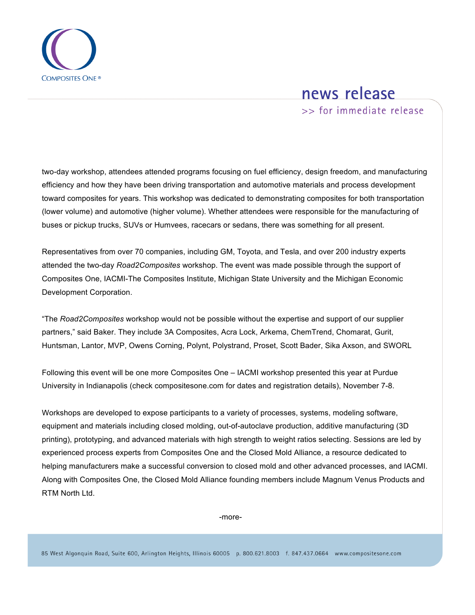

## news release

>> for immediate release

two-day workshop, attendees attended programs focusing on fuel efficiency, design freedom, and manufacturing efficiency and how they have been driving transportation and automotive materials and process development toward composites for years. This workshop was dedicated to demonstrating composites for both transportation (lower volume) and automotive (higher volume). Whether attendees were responsible for the manufacturing of buses or pickup trucks, SUVs or Humvees, racecars or sedans, there was something for all present.

Representatives from over 70 companies, including GM, Toyota, and Tesla, and over 200 industry experts attended the two-day *Road2Composites* workshop. The event was made possible through the support of Composites One, IACMI-The Composites Institute, Michigan State University and the Michigan Economic Development Corporation.

"The *Road2Composites* workshop would not be possible without the expertise and support of our supplier partners," said Baker. They include 3A Composites, Acra Lock, Arkema, ChemTrend, Chomarat, Gurit, Huntsman, Lantor, MVP, Owens Corning, Polynt, Polystrand, Proset, Scott Bader, Sika Axson, and SWORL

Following this event will be one more Composites One – IACMI workshop presented this year at Purdue University in Indianapolis (check compositesone.com for dates and registration details), November 7-8.

Workshops are developed to expose participants to a variety of processes, systems, modeling software, equipment and materials including closed molding, out-of-autoclave production, additive manufacturing (3D printing), prototyping, and advanced materials with high strength to weight ratios selecting. Sessions are led by experienced process experts from Composites One and the Closed Mold Alliance, a resource dedicated to helping manufacturers make a successful conversion to closed mold and other advanced processes, and IACMI. Along with Composites One, the Closed Mold Alliance founding members include Magnum Venus Products and RTM North Ltd.

-more-

85 West Algonquin Road, Suite 600, Arlington Heights, Illinois 60005 p. 800.621.8003 f. 847.437.0664 www.compositesone.com